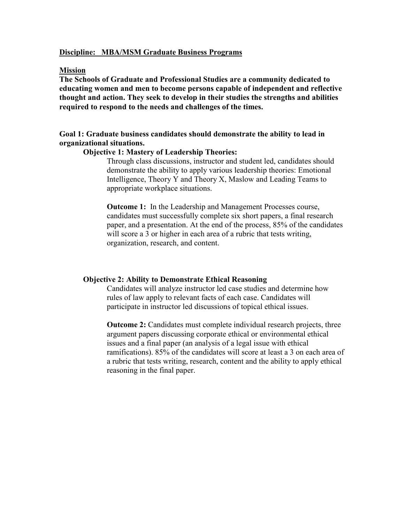#### Discipline: MBA/MSM Graduate Business Programs

#### Mission

The Schools of Graduate and Professional Studies are a community dedicated to educating women and men to become persons capable of independent and reflective thought and action. They seek to develop in their studies the strengths and abilities required to respond to the needs and challenges of the times.

## Goal 1: Graduate business candidates should demonstrate the ability to lead in organizational situations.

#### Objective 1: Mastery of Leadership Theories:

Through class discussions, instructor and student led, candidates should demonstrate the ability to apply various leadership theories: Emotional Intelligence, Theory Y and Theory X, Maslow and Leading Teams to appropriate workplace situations.

Outcome 1: In the Leadership and Management Processes course, candidates must successfully complete six short papers, a final research paper, and a presentation. At the end of the process, 85% of the candidates will score a 3 or higher in each area of a rubric that tests writing, organization, research, and content.

### Objective 2: Ability to Demonstrate Ethical Reasoning

Candidates will analyze instructor led case studies and determine how rules of law apply to relevant facts of each case. Candidates will participate in instructor led discussions of topical ethical issues.

Outcome 2: Candidates must complete individual research projects, three argument papers discussing corporate ethical or environmental ethical issues and a final paper (an analysis of a legal issue with ethical ramifications). 85% of the candidates will score at least a 3 on each area of a rubric that tests writing, research, content and the ability to apply ethical reasoning in the final paper.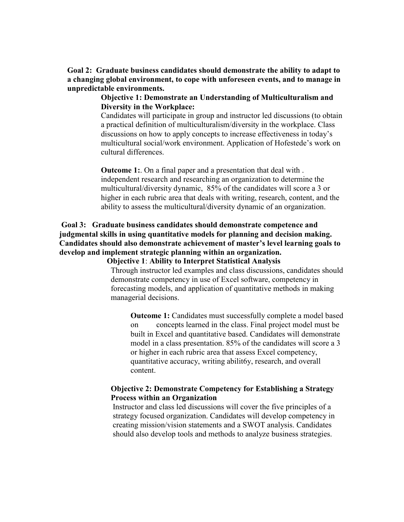Goal 2: Graduate business candidates should demonstrate the ability to adapt to a changing global environment, to cope with unforeseen events, and to manage in unpredictable environments.

> Objective 1: Demonstrate an Understanding of Multiculturalism and Diversity in the Workplace:

Candidates will participate in group and instructor led discussions (to obtain a practical definition of multiculturalism/diversity in the workplace. Class discussions on how to apply concepts to increase effectiveness in today's multicultural social/work environment. Application of Hofestede's work on cultural differences.

**Outcome 1:** On a final paper and a presentation that deal with. independent research and researching an organization to determine the multicultural/diversity dynamic, 85% of the candidates will score a 3 or higher in each rubric area that deals with writing, research, content, and the ability to assess the multicultural/diversity dynamic of an organization.

# Goal 3: Graduate business candidates should demonstrate competence and judgmental skills in using quantitative models for planning and decision making. Candidates should also demonstrate achievement of master's level learning goals to develop and implement strategic planning within an organization.

Objective 1: Ability to Interpret Statistical Analysis Through instructor led examples and class discussions, candidates should demonstrate competency in use of Excel software, competency in forecasting models, and application of quantitative methods in making managerial decisions.

Outcome 1: Candidates must successfully complete a model based on concepts learned in the class. Final project model must be built in Excel and quantitative based. Candidates will demonstrate model in a class presentation. 85% of the candidates will score a 3 or higher in each rubric area that assess Excel competency, quantitative accuracy, writing abilit6y, research, and overall content.

#### Objective 2: Demonstrate Competency for Establishing a Strategy Process within an Organization

Instructor and class led discussions will cover the five principles of a strategy focused organization. Candidates will develop competency in creating mission/vision statements and a SWOT analysis. Candidates should also develop tools and methods to analyze business strategies.